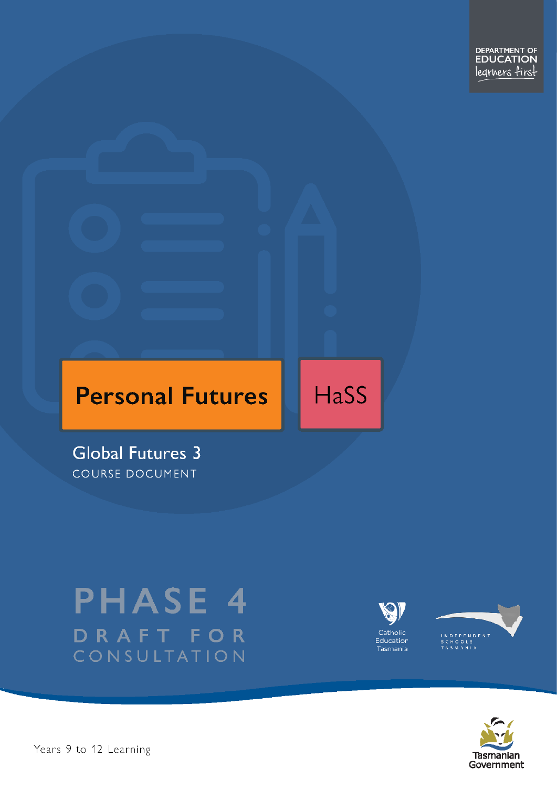DEPARTMENT OF<br>**EDUCATION** legrners first

# **Personal Futures**

**HaSS** 

**Global Futures 3** COURSE DOCUMENT

# **PHASE 4** DRAFT FOR CONSULTATION





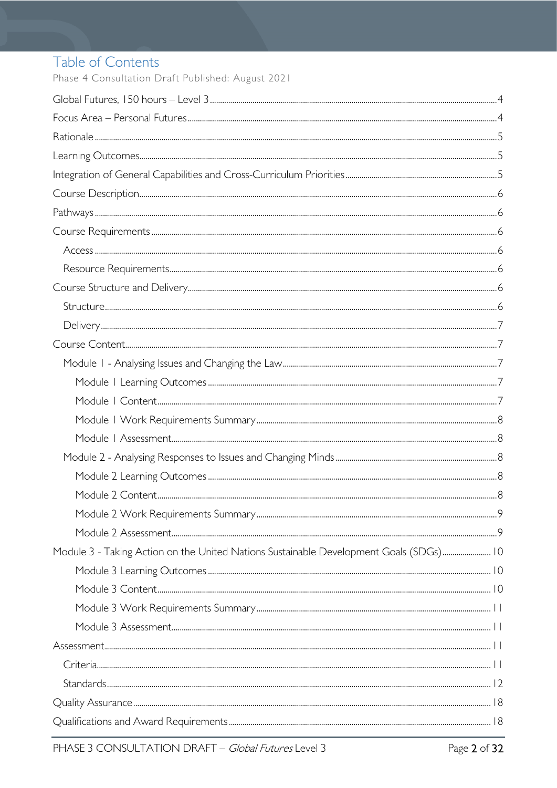# Table of Contents

Phase 4 Consultation Draft Published: August 2021

| Module 3 - Taking Action on the United Nations Sustainable Development Goals (SDGs) 10 |
|----------------------------------------------------------------------------------------|
|                                                                                        |
|                                                                                        |
|                                                                                        |
|                                                                                        |
|                                                                                        |
|                                                                                        |
|                                                                                        |
|                                                                                        |
|                                                                                        |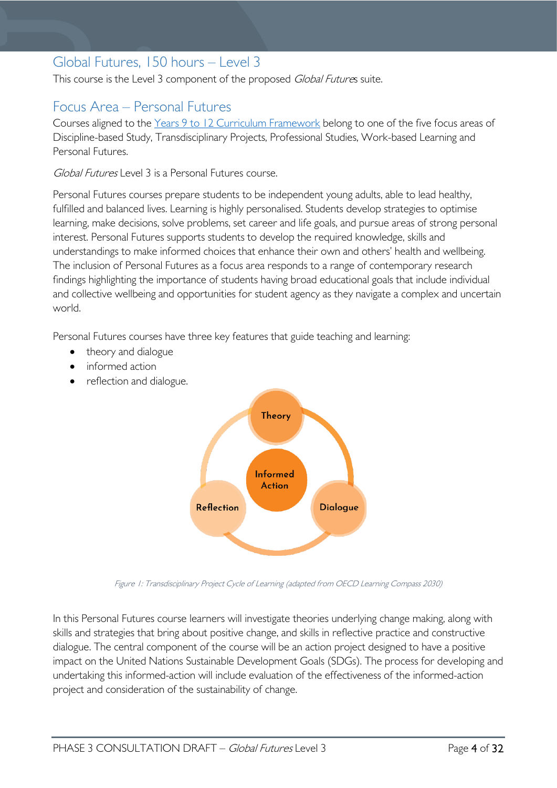# <span id="page-3-0"></span>Global Futures, 150 hours – Level 3

This course is the Level 3 component of the proposed Global Futures suite.

# <span id="page-3-1"></span>Focus Area – Personal Futures

Courses aligned to the Years 9 to 12 Curriculum [Framework](https://publicdocumentcentre.education.tas.gov.au/library/Shared%20Documents/Education%209-12%20Frameworks%20A3%20WEB%20POSTER.pdf) belong to one of the five focus areas of Discipline-based Study, Transdisciplinary Projects, Professional Studies, Work-based Learning and Personal Futures.

Global Futures Level 3 is a Personal Futures course.

Personal Futures courses prepare students to be independent young adults, able to lead healthy, fulfilled and balanced lives. Learning is highly personalised. Students develop strategies to optimise learning, make decisions, solve problems, set career and life goals, and pursue areas of strong personal interest. Personal Futures supports students to develop the required knowledge, skills and understandings to make informed choices that enhance their own and others' health and wellbeing. The inclusion of Personal Futures as a focus area responds to a range of contemporary research findings highlighting the importance of students having broad educational goals that include individual and collective wellbeing and opportunities for student agency as they navigate a complex and uncertain world.

Personal Futures courses have three key features that guide teaching and learning:

- theory and dialogue
- informed action
- reflection and dialogue.



Figure 1: Transdisciplinary Project Cycle of Learning (adapted from OECD Learning Compass 2030)

In this Personal Futures course learners will investigate theories underlying change making, along with skills and strategies that bring about positive change, and skills in reflective practice and constructive dialogue. The central component of the course will be an action project designed to have a positive impact on the United Nations Sustainable Development Goals (SDGs). The process for developing and undertaking this informed-action will include evaluation of the effectiveness of the informed-action project and consideration of the sustainability of change.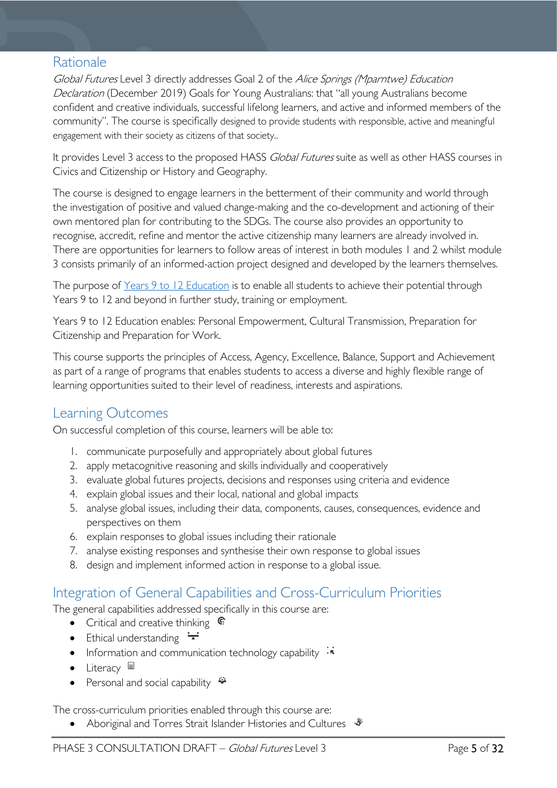# <span id="page-4-0"></span>Rationale

Global Futures Level 3 directly addresses Goal 2 of the Alice Springs (Mparntwe) Education Declaration (December 2019) Goals for Young Australians: that "all young Australians become confident and creative individuals, successful lifelong learners, and active and informed members of the community". The course is specifically designed to provide students with responsible, active and meaningful engagement with their society as citizens of that society..

It provides Level 3 access to the proposed HASS Global Futures suite as well as other HASS courses in Civics and Citizenship or History and Geography.

The course is designed to engage learners in the betterment of their community and world through the investigation of positive and valued change-making and the co-development and actioning of their own mentored plan for contributing to the SDGs. The course also provides an opportunity to recognise, accredit, refine and mentor the active citizenship many learners are already involved in. There are opportunities for learners to follow areas of interest in both modules 1 and 2 whilst module 3 consists primarily of an informed-action project designed and developed by the learners themselves.

The purpose of [Years 9 to 12 Education](https://publicdocumentcentre.education.tas.gov.au/library/Shared%20Documents/Years-9-to-12-Education-Framework.pdf) is to enable all students to achieve their potential through Years 9 to 12 and beyond in further study, training or employment.

Years 9 to 12 Education enables: Personal Empowerment, Cultural Transmission, Preparation for Citizenship and Preparation for Work.

This course supports the principles of Access, Agency, Excellence, Balance, Support and Achievement as part of a range of programs that enables students to access a diverse and highly flexible range of learning opportunities suited to their level of readiness, interests and aspirations.

# <span id="page-4-1"></span>Learning Outcomes

On successful completion of this course, learners will be able to:

- 1. communicate purposefully and appropriately about global futures
- 2. apply metacognitive reasoning and skills individually and cooperatively
- 3. evaluate global futures projects, decisions and responses using criteria and evidence
- 4. explain global issues and their local, national and global impacts
- 5. analyse global issues, including their data, components, causes, consequences, evidence and perspectives on them
- 6. explain responses to global issues including their rationale
- 7. analyse existing responses and synthesise their own response to global issues
- 8. design and implement informed action in response to a global issue.

# <span id="page-4-2"></span>Integration of General Capabilities and Cross-Curriculum Priorities

The general capabilities addressed specifically in this course are:

- Critical and creative thinking  $\mathbb{C}$
- Ethical understanding  $\pm$
- Information and communication technology capability  $\cdot \star$
- Literacy  $\blacksquare$
- Personal and social capability  $\ddot{\bullet}$

The cross-curriculum priorities enabled through this course are:

Aboriginal and Torres Strait Islander Histories and Cultures  $\frac{4}{3}$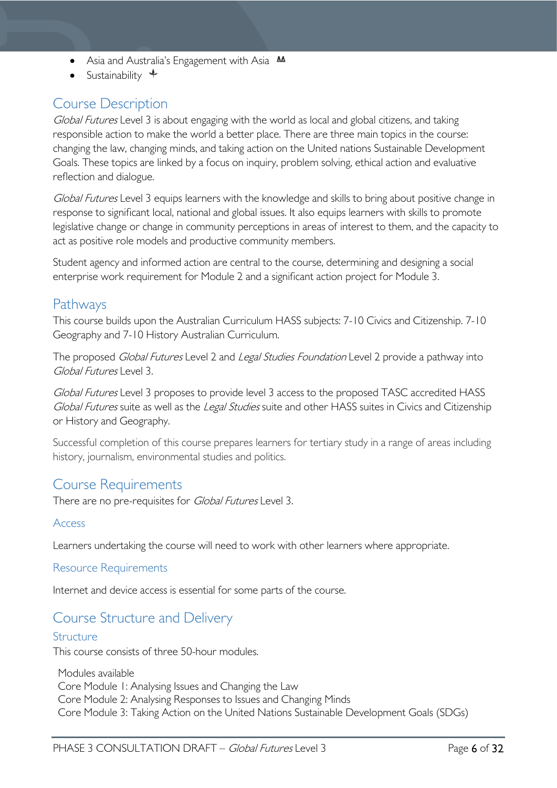- Asia and Australia's Engagement with Asia **AA**
- Sustainability  $\triangleleft$

# <span id="page-5-0"></span>Course Description

Global Futures Level 3 is about engaging with the world as local and global citizens, and taking responsible action to make the world a better place. There are three main topics in the course: changing the law, changing minds, and taking action on the United nations Sustainable Development Goals. These topics are linked by a focus on inquiry, problem solving, ethical action and evaluative reflection and dialogue.

Global Futures Level 3 equips learners with the knowledge and skills to bring about positive change in response to significant local, national and global issues. It also equips learners with skills to promote legislative change or change in community perceptions in areas of interest to them, and the capacity to act as positive role models and productive community members.

Student agency and informed action are central to the course, determining and designing a social enterprise work requirement for Module 2 and a significant action project for Module 3.

# <span id="page-5-1"></span>Pathways

This course builds upon the Australian Curriculum HASS subjects: 7-10 Civics and Citizenship. 7-10 Geography and 7-10 History Australian Curriculum.

The proposed Global Futures Level 2 and Legal Studies Foundation Level 2 provide a pathway into Global Futures Level 3.

Global Futures Level 3 proposes to provide level 3 access to the proposed TASC accredited HASS Global Futures suite as well as the Legal Studies suite and other HASS suites in Civics and Citizenship or History and Geography.

Successful completion of this course prepares learners for tertiary study in a range of areas including history, journalism, environmental studies and politics.

# <span id="page-5-2"></span>Course Requirements

There are no pre-requisites for *Global Futures* Level 3.

# <span id="page-5-3"></span>Access

Learners undertaking the course will need to work with other learners where appropriate.

# <span id="page-5-4"></span>Resource Requirements

Internet and device access is essential for some parts of the course.

# <span id="page-5-5"></span>Course Structure and Delivery

### <span id="page-5-6"></span>Structure

This course consists of three 50-hour modules.

Modules available Core Module 1: Analysing Issues and Changing the Law Core Module 2: Analysing Responses to Issues and Changing Minds Core Module 3: Taking Action on the United Nations Sustainable Development Goals (SDGs)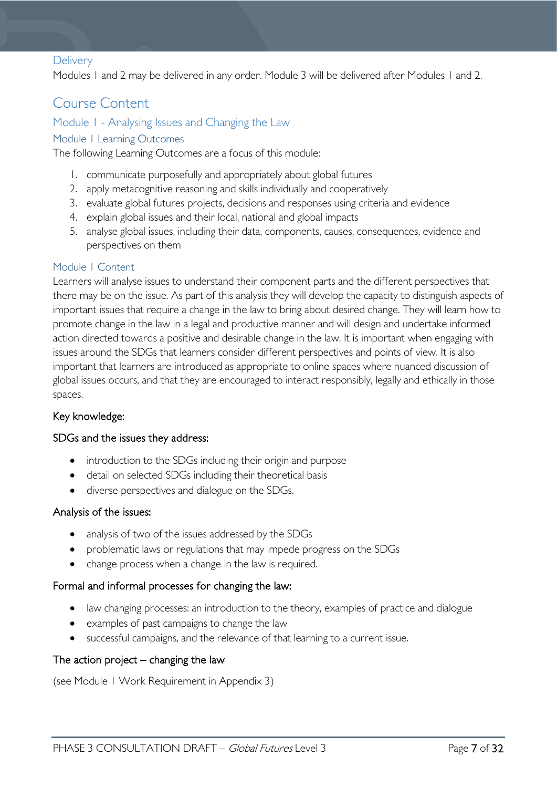### <span id="page-6-0"></span>**Delivery**

Modules 1 and 2 may be delivered in any order. Module 3 will be delivered after Modules 1 and 2.

# <span id="page-6-1"></span>Course Content

### <span id="page-6-2"></span>Module 1 - Analysing Issues and Changing the Law

### <span id="page-6-3"></span>Module 1 Learning Outcomes

The following Learning Outcomes are a focus of this module:

- 1. communicate purposefully and appropriately about global futures
- 2. apply metacognitive reasoning and skills individually and cooperatively
- 3. evaluate global futures projects, decisions and responses using criteria and evidence
- 4. explain global issues and their local, national and global impacts
- 5. analyse global issues, including their data, components, causes, consequences, evidence and perspectives on them

#### <span id="page-6-4"></span>Module 1 Content

Learners will analyse issues to understand their component parts and the different perspectives that there may be on the issue. As part of this analysis they will develop the capacity to distinguish aspects of important issues that require a change in the law to bring about desired change. They will learn how to promote change in the law in a legal and productive manner and will design and undertake informed action directed towards a positive and desirable change in the law. It is important when engaging with issues around the SDGs that learners consider different perspectives and points of view. It is also important that learners are introduced as appropriate to online spaces where nuanced discussion of global issues occurs, and that they are encouraged to interact responsibly, legally and ethically in those spaces.

### Key knowledge:

#### SDGs and the issues they address:

- introduction to the SDGs including their origin and purpose
- detail on selected SDGs including their theoretical basis
- diverse perspectives and dialogue on the SDGs.

### Analysis of the issues:

- analysis of two of the issues addressed by the SDGs
- problematic laws or regulations that may impede progress on the SDGs
- change process when a change in the law is required.

### Formal and informal processes for changing the law:

- law changing processes: an introduction to the theory, examples of practice and dialogue
- examples of past campaigns to change the law
- successful campaigns, and the relevance of that learning to a current issue.

#### The action project  $-$  changing the law

(see Module 1 Work Requirement in Appendix 3)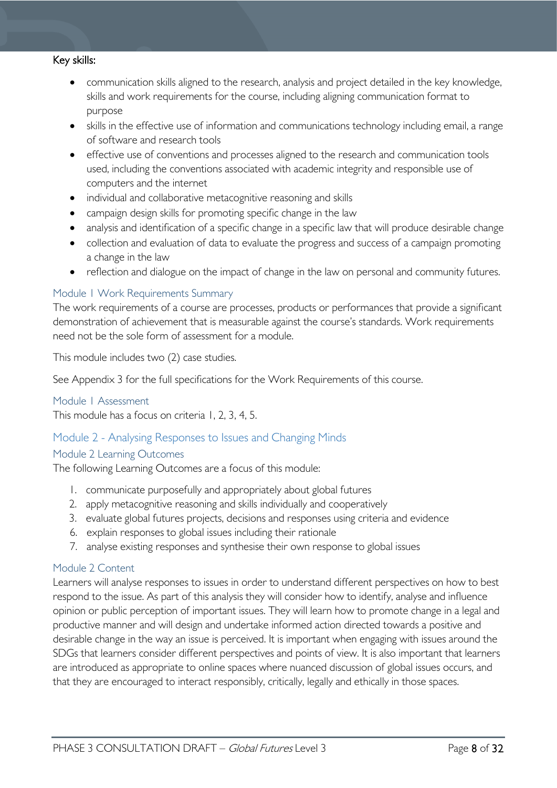#### Key skills:

- communication skills aligned to the research, analysis and project detailed in the key knowledge, skills and work requirements for the course, including aligning communication format to purpose
- skills in the effective use of information and communications technology including email, a range of software and research tools
- effective use of conventions and processes aligned to the research and communication tools used, including the conventions associated with academic integrity and responsible use of computers and the internet
- individual and collaborative metacognitive reasoning and skills
- campaign design skills for promoting specific change in the law
- analysis and identification of a specific change in a specific law that will produce desirable change
- collection and evaluation of data to evaluate the progress and success of a campaign promoting a change in the law
- reflection and dialogue on the impact of change in the law on personal and community futures.

### <span id="page-7-0"></span>Module 1 Work Requirements Summary

The work requirements of a course are processes, products or performances that provide a significant demonstration of achievement that is measurable against the course's standards. Work requirements need not be the sole form of assessment for a module.

This module includes two (2) case studies.

See Appendix 3 for the full specifications for the Work Requirements of this course.

#### <span id="page-7-1"></span>Module 1 Assessment

This module has a focus on criteria 1, 2, 3, 4, 5.

# <span id="page-7-2"></span>Module 2 - Analysing Responses to Issues and Changing Minds

### <span id="page-7-3"></span>Module 2 Learning Outcomes

The following Learning Outcomes are a focus of this module:

- 1. communicate purposefully and appropriately about global futures
- 2. apply metacognitive reasoning and skills individually and cooperatively
- 3. evaluate global futures projects, decisions and responses using criteria and evidence
- 6. explain responses to global issues including their rationale
- 7. analyse existing responses and synthesise their own response to global issues

#### <span id="page-7-4"></span>Module 2 Content

Learners will analyse responses to issues in order to understand different perspectives on how to best respond to the issue. As part of this analysis they will consider how to identify, analyse and influence opinion or public perception of important issues. They will learn how to promote change in a legal and productive manner and will design and undertake informed action directed towards a positive and desirable change in the way an issue is perceived. It is important when engaging with issues around the SDGs that learners consider different perspectives and points of view. It is also important that learners are introduced as appropriate to online spaces where nuanced discussion of global issues occurs, and that they are encouraged to interact responsibly, critically, legally and ethically in those spaces.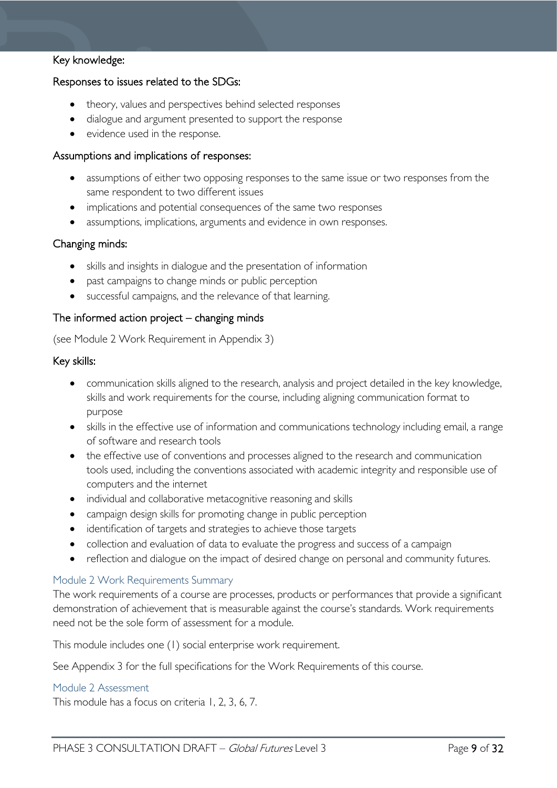# Key knowledge:

### Responses to issues related to the SDGs:

- theory, values and perspectives behind selected responses
- dialogue and argument presented to support the response
- evidence used in the response.

#### Assumptions and implications of responses:

- assumptions of either two opposing responses to the same issue or two responses from the same respondent to two different issues
- implications and potential consequences of the same two responses
- assumptions, implications, arguments and evidence in own responses.

### Changing minds:

- skills and insights in dialogue and the presentation of information
- past campaigns to change minds or public perception
- successful campaigns, and the relevance of that learning.

### The informed action project – changing minds

(see Module 2 Work Requirement in Appendix 3)

#### Key skills:

- communication skills aligned to the research, analysis and project detailed in the key knowledge, skills and work requirements for the course, including aligning communication format to purpose
- skills in the effective use of information and communications technology including email, a range of software and research tools
- the effective use of conventions and processes aligned to the research and communication tools used, including the conventions associated with academic integrity and responsible use of computers and the internet
- individual and collaborative metacognitive reasoning and skills
- campaign design skills for promoting change in public perception
- identification of targets and strategies to achieve those targets
- collection and evaluation of data to evaluate the progress and success of a campaign
- reflection and dialogue on the impact of desired change on personal and community futures.

#### <span id="page-8-0"></span>Module 2 Work Requirements Summary

The work requirements of a course are processes, products or performances that provide a significant demonstration of achievement that is measurable against the course's standards. Work requirements need not be the sole form of assessment for a module.

This module includes one (1) social enterprise work requirement.

See Appendix 3 for the full specifications for the Work Requirements of this course.

#### <span id="page-8-1"></span>Module 2 Assessment

This module has a focus on criteria 1, 2, 3, 6, 7.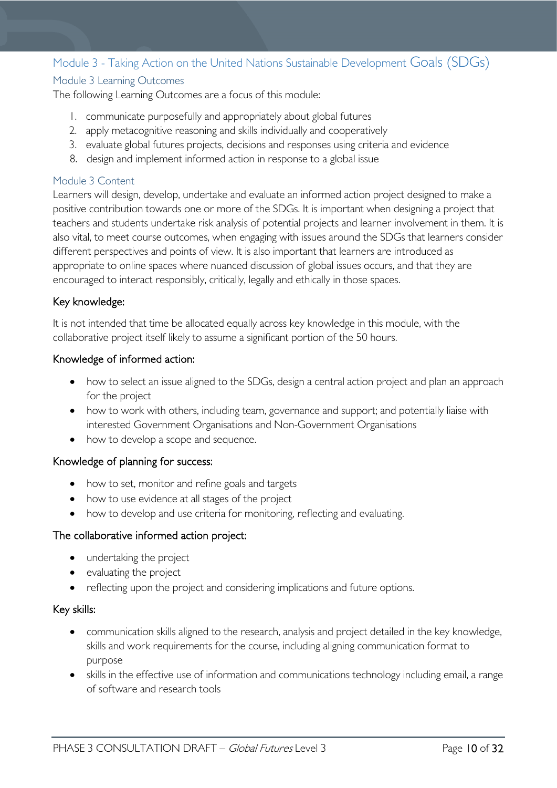# <span id="page-9-0"></span>Module 3 - Taking Action on the United Nations Sustainable Development Goals (SDGs)

# <span id="page-9-1"></span>Module 3 Learning Outcomes

The following Learning Outcomes are a focus of this module:

- 1. communicate purposefully and appropriately about global futures
- 2. apply metacognitive reasoning and skills individually and cooperatively
- 3. evaluate global futures projects, decisions and responses using criteria and evidence
- 8. design and implement informed action in response to a global issue

### <span id="page-9-2"></span>Module 3 Content

Learners will design, develop, undertake and evaluate an informed action project designed to make a positive contribution towards one or more of the SDGs. It is important when designing a project that teachers and students undertake risk analysis of potential projects and learner involvement in them. It is also vital, to meet course outcomes, when engaging with issues around the SDGs that learners consider different perspectives and points of view. It is also important that learners are introduced as appropriate to online spaces where nuanced discussion of global issues occurs, and that they are encouraged to interact responsibly, critically, legally and ethically in those spaces.

# Key knowledge:

It is not intended that time be allocated equally across key knowledge in this module, with the collaborative project itself likely to assume a significant portion of the 50 hours.

# Knowledge of informed action:

- how to select an issue aligned to the SDGs, design a central action project and plan an approach for the project
- how to work with others, including team, governance and support; and potentially liaise with interested Government Organisations and Non-Government Organisations
- how to develop a scope and sequence.

# Knowledge of planning for success:

- how to set, monitor and refine goals and targets
- how to use evidence at all stages of the project
- how to develop and use criteria for monitoring, reflecting and evaluating.

### The collaborative informed action project:

- undertaking the project
- evaluating the project
- reflecting upon the project and considering implications and future options.

### Key skills:

- communication skills aligned to the research, analysis and project detailed in the key knowledge, skills and work requirements for the course, including aligning communication format to purpose
- skills in the effective use of information and communications technology including email, a range of software and research tools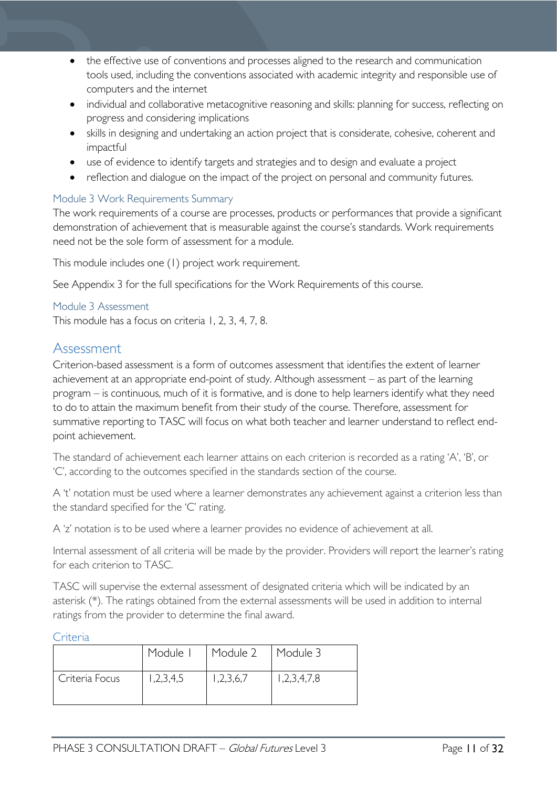- the effective use of conventions and processes aligned to the research and communication tools used, including the conventions associated with academic integrity and responsible use of computers and the internet
- individual and collaborative metacognitive reasoning and skills: planning for success, reflecting on progress and considering implications
- skills in designing and undertaking an action project that is considerate, cohesive, coherent and impactful
- use of evidence to identify targets and strategies and to design and evaluate a project
- reflection and dialogue on the impact of the project on personal and community futures.

# <span id="page-10-0"></span>Module 3 Work Requirements Summary

The work requirements of a course are processes, products or performances that provide a significant demonstration of achievement that is measurable against the course's standards. Work requirements need not be the sole form of assessment for a module.

This module includes one (1) project work requirement.

See Appendix 3 for the full specifications for the Work Requirements of this course.

#### <span id="page-10-1"></span>Module 3 Assessment

This module has a focus on criteria 1, 2, 3, 4, 7, 8.

# <span id="page-10-2"></span>Assessment

Criterion-based assessment is a form of outcomes assessment that identifies the extent of learner achievement at an appropriate end-point of study. Although assessment – as part of the learning program – is continuous, much of it is formative, and is done to help learners identify what they need to do to attain the maximum benefit from their study of the course. Therefore, assessment for summative reporting to TASC will focus on what both teacher and learner understand to reflect endpoint achievement.

The standard of achievement each learner attains on each criterion is recorded as a rating 'A', 'B', or 'C', according to the outcomes specified in the standards section of the course.

A 't' notation must be used where a learner demonstrates any achievement against a criterion less than the standard specified for the 'C' rating.

A 'z' notation is to be used where a learner provides no evidence of achievement at all.

Internal assessment of all criteria will be made by the provider. Providers will report the learner's rating for each criterion to TASC.

TASC will supervise the external assessment of designated criteria which will be indicated by an asterisk (\*). The ratings obtained from the external assessments will be used in addition to internal ratings from the provider to determine the final award.

#### <span id="page-10-3"></span>Criteria

|                | Module I  | Module 2  | Module 3    |
|----------------|-----------|-----------|-------------|
| Criteria Focus | 1,2,3,4,5 | 1,2,3,6,7 | 1,2,3,4,7,8 |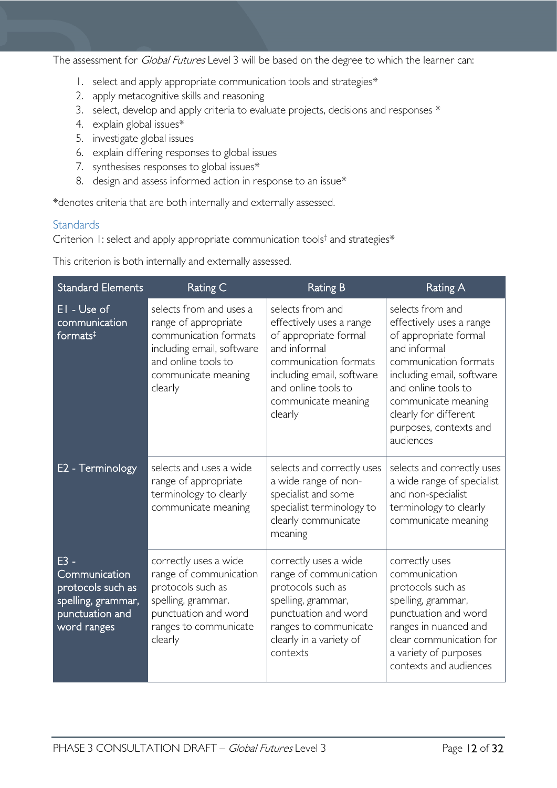The assessment for *Global Futures* Level 3 will be based on the degree to which the learner can:

- 1. select and apply appropriate communication tools and strategies\*
- 2. apply metacognitive skills and reasoning
- 3. select, develop and apply criteria to evaluate projects, decisions and responses \*
- 4. explain global issues\*
- 5. investigate global issues
- 6. explain differing responses to global issues
- 7. synthesises responses to global issues\*
- 8. design and assess informed action in response to an issue\*

\*denotes criteria that are both internally and externally assessed.

### <span id="page-11-0"></span>**Standards**

Criterion 1: select and apply appropriate communication tools<sup>†</sup> and strategies\*

This criterion is both internally and externally assessed.

| <b>Standard Elements</b>                                                                             | Rating C                                                                                                                                                       | <b>Rating B</b>                                                                                                                                                                                      | <b>Rating A</b>                                                                                                                                                                                                                                           |
|------------------------------------------------------------------------------------------------------|----------------------------------------------------------------------------------------------------------------------------------------------------------------|------------------------------------------------------------------------------------------------------------------------------------------------------------------------------------------------------|-----------------------------------------------------------------------------------------------------------------------------------------------------------------------------------------------------------------------------------------------------------|
| EI - Use of<br>communication<br>formats $‡$                                                          | selects from and uses a<br>range of appropriate<br>communication formats<br>including email, software<br>and online tools to<br>communicate meaning<br>clearly | selects from and<br>effectively uses a range<br>of appropriate formal<br>and informal<br>communication formats<br>including email, software<br>and online tools to<br>communicate meaning<br>clearly | selects from and<br>effectively uses a range<br>of appropriate formal<br>and informal<br>communication formats<br>including email, software<br>and online tools to<br>communicate meaning<br>clearly for different<br>purposes, contexts and<br>audiences |
| E2 - Terminology                                                                                     | selects and uses a wide<br>range of appropriate<br>terminology to clearly<br>communicate meaning                                                               | selects and correctly uses<br>a wide range of non-<br>specialist and some<br>specialist terminology to<br>clearly communicate<br>meaning                                                             | selects and correctly uses<br>a wide range of specialist<br>and non-specialist<br>terminology to clearly<br>communicate meaning                                                                                                                           |
| $E3 -$<br>Communication<br>protocols such as<br>spelling, grammar,<br>punctuation and<br>word ranges | correctly uses a wide<br>range of communication<br>protocols such as<br>spelling, grammar.<br>punctuation and word<br>ranges to communicate<br>clearly         | correctly uses a wide<br>range of communication<br>protocols such as<br>spelling, grammar,<br>punctuation and word<br>ranges to communicate<br>clearly in a variety of<br>contexts                   | correctly uses<br>communication<br>protocols such as<br>spelling, grammar,<br>punctuation and word<br>ranges in nuanced and<br>clear communication for<br>a variety of purposes<br>contexts and audiences                                                 |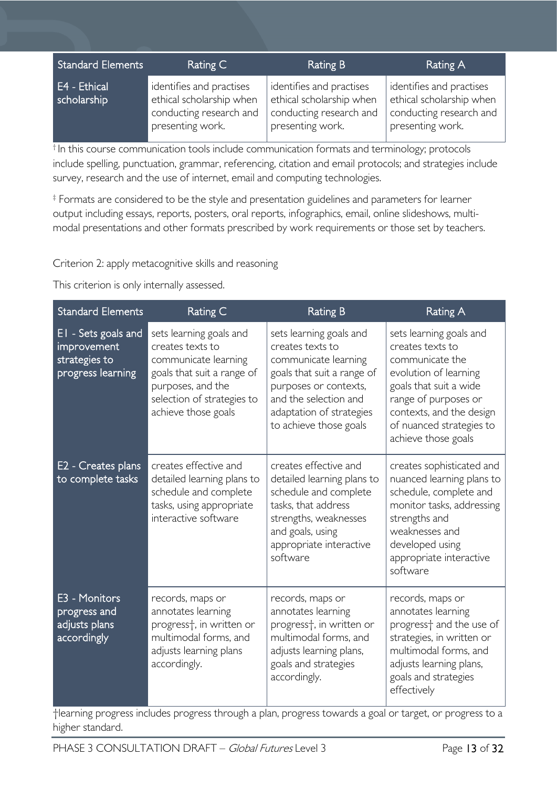| Standard Elements           | Rating C                                                                                            | Rating B                                                                                            | Rating A                                                                                            |
|-----------------------------|-----------------------------------------------------------------------------------------------------|-----------------------------------------------------------------------------------------------------|-----------------------------------------------------------------------------------------------------|
| E4 - Ethical<br>scholarship | identifies and practises<br>ethical scholarship when<br>conducting research and<br>presenting work. | identifies and practises<br>ethical scholarship when<br>conducting research and<br>presenting work. | identifies and practises<br>ethical scholarship when<br>conducting research and<br>presenting work. |

 $<sup>†</sup>$  In this course communication tools include communication formats and terminology; protocols</sup> include spelling, punctuation, grammar, referencing, citation and email protocols; and strategies include survey, research and the use of internet, email and computing technologies.

‡ Formats are considered to be the style and presentation guidelines and parameters for learner output including essays, reports, posters, oral reports, infographics, email, online slideshows, multimodal presentations and other formats prescribed by work requirements or those set by teachers.

Criterion 2: apply metacognitive skills and reasoning

This criterion is only internally assessed.

| <b>Standard Elements</b>                                                 | Rating C                                                                                                                                                                    | <b>Rating B</b>                                                                                                                                                                                           | <b>Rating A</b>                                                                                                                                                                                                          |
|--------------------------------------------------------------------------|-----------------------------------------------------------------------------------------------------------------------------------------------------------------------------|-----------------------------------------------------------------------------------------------------------------------------------------------------------------------------------------------------------|--------------------------------------------------------------------------------------------------------------------------------------------------------------------------------------------------------------------------|
| EI - Sets goals and<br>improvement<br>strategies to<br>progress learning | sets learning goals and<br>creates texts to<br>communicate learning<br>goals that suit a range of<br>purposes, and the<br>selection of strategies to<br>achieve those goals | sets learning goals and<br>creates texts to<br>communicate learning<br>goals that suit a range of<br>purposes or contexts,<br>and the selection and<br>adaptation of strategies<br>to achieve those goals | sets learning goals and<br>creates texts to<br>communicate the<br>evolution of learning<br>goals that suit a wide<br>range of purposes or<br>contexts, and the design<br>of nuanced strategies to<br>achieve those goals |
| E <sub>2</sub> - Creates plans<br>to complete tasks                      | creates effective and<br>detailed learning plans to<br>schedule and complete<br>tasks, using appropriate<br>interactive software                                            | creates effective and<br>detailed learning plans to<br>schedule and complete<br>tasks, that address<br>strengths, weaknesses<br>and goals, using<br>appropriate interactive<br>software                   | creates sophisticated and<br>nuanced learning plans to<br>schedule, complete and<br>monitor tasks, addressing<br>strengths and<br>weaknesses and<br>developed using<br>appropriate interactive<br>software               |
| E3 - Monitors<br>progress and<br>adjusts plans<br>accordingly            | records, maps or<br>annotates learning<br>progress <sup>+</sup> , in written or<br>multimodal forms, and<br>adjusts learning plans<br>accordingly.                          | records, maps or<br>annotates learning<br>progress <sup>+</sup> , in written or<br>multimodal forms, and<br>adjusts learning plans,<br>goals and strategies<br>accordingly.                               | records, maps or<br>annotates learning<br>progress <sup>+</sup> and the use of<br>strategies, in written or<br>multimodal forms, and<br>adjusts learning plans,<br>goals and strategies<br>effectively                   |

†learning progress includes progress through a plan, progress towards a goal or target, or progress to a higher standard.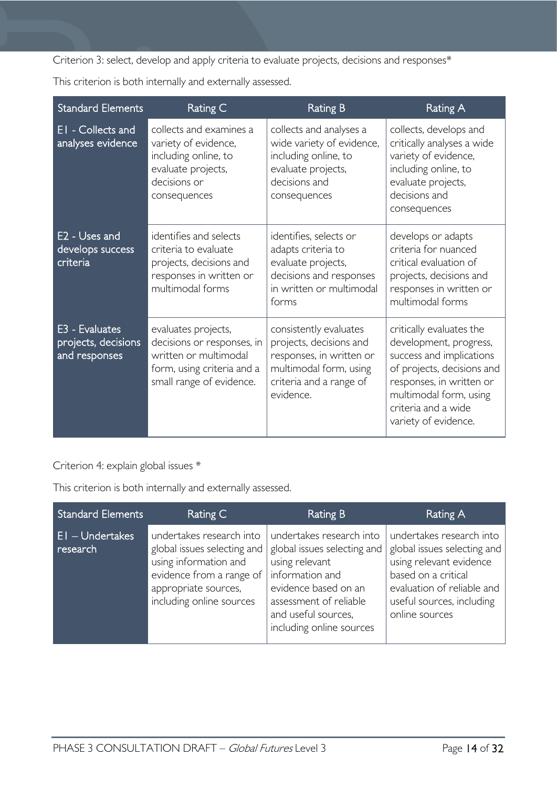Criterion 3: select, develop and apply criteria to evaluate projects, decisions and responses\*

This criterion is both internally and externally assessed.

| <b>Standard Elements</b>                                  | Rating C                                                                                                                             | <b>Rating B</b>                                                                                                                                 | <b>Rating A</b>                                                                                                                                                                                                   |
|-----------------------------------------------------------|--------------------------------------------------------------------------------------------------------------------------------------|-------------------------------------------------------------------------------------------------------------------------------------------------|-------------------------------------------------------------------------------------------------------------------------------------------------------------------------------------------------------------------|
| EI - Collects and<br>analyses evidence                    | collects and examines a<br>variety of evidence,<br>including online, to<br>evaluate projects,<br>decisions or<br>consequences        | collects and analyses a<br>wide variety of evidence,<br>including online, to<br>evaluate projects,<br>decisions and<br>consequences             | collects, develops and<br>critically analyses a wide<br>variety of evidence,<br>including online, to<br>evaluate projects,<br>decisions and<br>consequences                                                       |
| E <sub>2</sub> - Uses and<br>develops success<br>criteria | identifies and selects<br>criteria to evaluate<br>projects, decisions and<br>responses in written or<br>multimodal forms             | identifies, selects or<br>adapts criteria to<br>evaluate projects,<br>decisions and responses<br>in written or multimodal<br>forms              | develops or adapts<br>criteria for nuanced<br>critical evaluation of<br>projects, decisions and<br>responses in written or<br>multimodal forms                                                                    |
| E3 - Evaluates<br>projects, decisions<br>and responses    | evaluates projects,<br>decisions or responses, in<br>written or multimodal<br>form, using criteria and a<br>small range of evidence. | consistently evaluates<br>projects, decisions and<br>responses, in written or<br>multimodal form, using<br>criteria and a range of<br>evidence. | critically evaluates the<br>development, progress,<br>success and implications<br>of projects, decisions and<br>responses, in written or<br>multimodal form, using<br>criteria and a wide<br>variety of evidence. |

Criterion 4: explain global issues \*

This criterion is both internally and externally assessed.

| <b>Standard Elements</b>         | Rating C                                                                                                                                                         | Rating B                                                                                                                                                                                          | Rating A                                                                                                                                                                               |
|----------------------------------|------------------------------------------------------------------------------------------------------------------------------------------------------------------|---------------------------------------------------------------------------------------------------------------------------------------------------------------------------------------------------|----------------------------------------------------------------------------------------------------------------------------------------------------------------------------------------|
| <b>EI-Undertakes</b><br>research | undertakes research into<br>global issues selecting and<br>using information and<br>evidence from a range of<br>appropriate sources,<br>including online sources | undertakes research into<br>global issues selecting and<br>using relevant<br>information and<br>evidence based on an<br>assessment of reliable<br>and useful sources,<br>including online sources | undertakes research into<br>global issues selecting and<br>using relevant evidence<br>based on a critical<br>evaluation of reliable and<br>useful sources, including<br>online sources |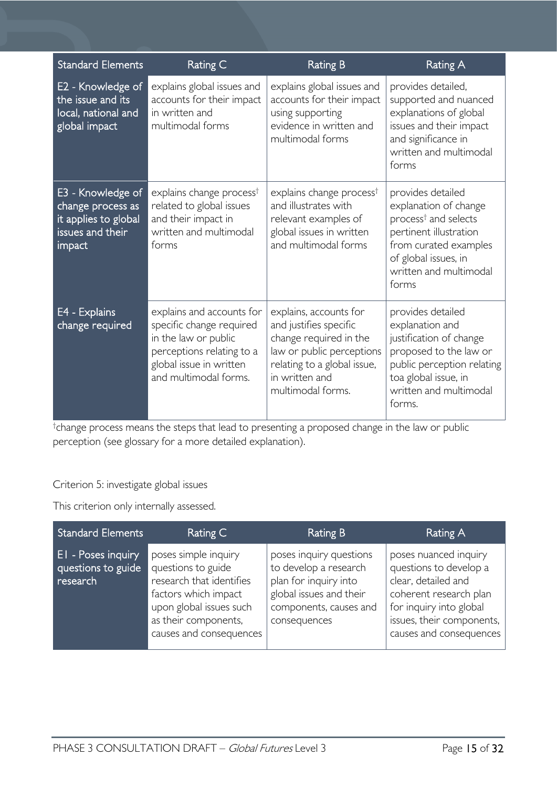| <b>Standard Elements</b>                                                                     | Rating C                                                                                                                                                       | <b>Rating B</b>                                                                                                                                                               | Rating A                                                                                                                                                                                     |
|----------------------------------------------------------------------------------------------|----------------------------------------------------------------------------------------------------------------------------------------------------------------|-------------------------------------------------------------------------------------------------------------------------------------------------------------------------------|----------------------------------------------------------------------------------------------------------------------------------------------------------------------------------------------|
| E2 - Knowledge of<br>the issue and its<br>local, national and<br>global impact               | explains global issues and<br>accounts for their impact<br>in written and<br>multimodal forms                                                                  | explains global issues and<br>accounts for their impact<br>using supporting<br>evidence in written and<br>multimodal forms                                                    | provides detailed,<br>supported and nuanced<br>explanations of global<br>issues and their impact<br>and significance in<br>written and multimodal<br>forms                                   |
| E3 - Knowledge of<br>change process as<br>it applies to global<br>issues and their<br>impact | explains change process <sup>†</sup><br>related to global issues<br>and their impact in<br>written and multimodal<br>forms                                     | explains change process <sup>†</sup><br>and illustrates with<br>relevant examples of<br>global issues in written<br>and multimodal forms                                      | provides detailed<br>explanation of change<br>process <sup>†</sup> and selects<br>pertinent illustration<br>from curated examples<br>of global issues, in<br>written and multimodal<br>forms |
| E4 - Explains<br>change required                                                             | explains and accounts for<br>specific change required<br>in the law or public<br>perceptions relating to a<br>global issue in written<br>and multimodal forms. | explains, accounts for<br>and justifies specific<br>change required in the<br>law or public perceptions<br>relating to a global issue,<br>in written and<br>multimodal forms. | provides detailed<br>explanation and<br>justification of change<br>proposed to the law or<br>public perception relating<br>toa global issue, in<br>written and multimodal<br>forms.          |

† change process means the steps that lead to presenting a proposed change in the law or public perception (see glossary for a more detailed explanation).

# Criterion 5: investigate global issues

This criterion only internally assessed.

| <b>Standard Elements</b>                                    | Rating C                                                                                                                                                                     | Rating B                                                                                                                                       | <b>Rating A</b>                                                                                                                                                                     |
|-------------------------------------------------------------|------------------------------------------------------------------------------------------------------------------------------------------------------------------------------|------------------------------------------------------------------------------------------------------------------------------------------------|-------------------------------------------------------------------------------------------------------------------------------------------------------------------------------------|
| <b>El</b> - Poses inquiry<br>questions to guide<br>research | poses simple inquiry<br>questions to guide<br>research that identifies<br>factors which impact<br>upon global issues such<br>as their components,<br>causes and consequences | poses inquiry questions<br>to develop a research<br>plan for inquiry into<br>global issues and their<br>components, causes and<br>consequences | poses nuanced inquiry<br>questions to develop a<br>clear, detailed and<br>coherent research plan<br>for inquiry into global<br>issues, their components,<br>causes and consequences |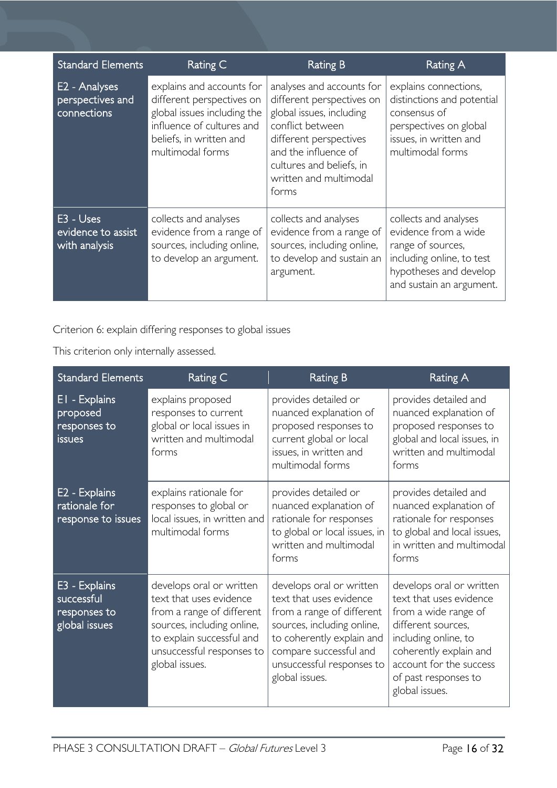| <b>Standard Elements</b>                         | Rating C                                                                                                                                                          | <b>Rating B</b>                                                                                                                                                                                                         | Rating A                                                                                                                                              |
|--------------------------------------------------|-------------------------------------------------------------------------------------------------------------------------------------------------------------------|-------------------------------------------------------------------------------------------------------------------------------------------------------------------------------------------------------------------------|-------------------------------------------------------------------------------------------------------------------------------------------------------|
| E2 - Analyses<br>perspectives and<br>connections | explains and accounts for<br>different perspectives on<br>global issues including the<br>influence of cultures and<br>beliefs, in written and<br>multimodal forms | analyses and accounts for<br>different perspectives on<br>global issues, including<br>conflict between<br>different perspectives<br>and the influence of<br>cultures and beliefs, in<br>written and multimodal<br>forms | explains connections,<br>distinctions and potential<br>consensus of<br>perspectives on global<br>issues, in written and<br>multimodal forms           |
| E3 - Uses<br>evidence to assist<br>with analysis | collects and analyses<br>evidence from a range of<br>sources, including online,<br>to develop an argument.                                                        | collects and analyses<br>evidence from a range of<br>sources, including online,<br>to develop and sustain an<br>argument.                                                                                               | collects and analyses<br>evidence from a wide<br>range of sources,<br>including online, to test<br>hypotheses and develop<br>and sustain an argument. |

Criterion 6: explain differing responses to global issues

This criterion only internally assessed.

| <b>Standard Elements</b>                                     | Rating C                                                                                                                                                                                   | <b>Rating B</b>                                                                                                                                                                                                      | <b>Rating A</b>                                                                                                                                                                                                          |
|--------------------------------------------------------------|--------------------------------------------------------------------------------------------------------------------------------------------------------------------------------------------|----------------------------------------------------------------------------------------------------------------------------------------------------------------------------------------------------------------------|--------------------------------------------------------------------------------------------------------------------------------------------------------------------------------------------------------------------------|
| EI - Explains<br>proposed<br>responses to<br><b>issues</b>   | explains proposed<br>responses to current<br>global or local issues in<br>written and multimodal<br>forms                                                                                  | provides detailed or<br>nuanced explanation of<br>proposed responses to<br>current global or local<br>issues, in written and<br>multimodal forms                                                                     | provides detailed and<br>nuanced explanation of<br>proposed responses to<br>global and local issues, in<br>written and multimodal<br>forms                                                                               |
| E2 - Explains<br>rationale for<br>response to issues         | explains rationale for<br>responses to global or<br>local issues, in written and<br>multimodal forms                                                                                       | provides detailed or<br>nuanced explanation of<br>rationale for responses<br>to global or local issues, in<br>written and multimodal<br>forms                                                                        | provides detailed and<br>nuanced explanation of<br>rationale for responses<br>to global and local issues,<br>in written and multimodal<br>forms                                                                          |
| E3 - Explains<br>successful<br>responses to<br>global issues | develops oral or written<br>text that uses evidence<br>from a range of different<br>sources, including online,<br>to explain successful and<br>unsuccessful responses to<br>global issues. | develops oral or written<br>text that uses evidence<br>from a range of different<br>sources, including online,<br>to coherently explain and<br>compare successful and<br>unsuccessful responses to<br>global issues. | develops oral or written<br>text that uses evidence<br>from a wide range of<br>different sources,<br>including online, to<br>coherently explain and<br>account for the success<br>of past responses to<br>global issues. |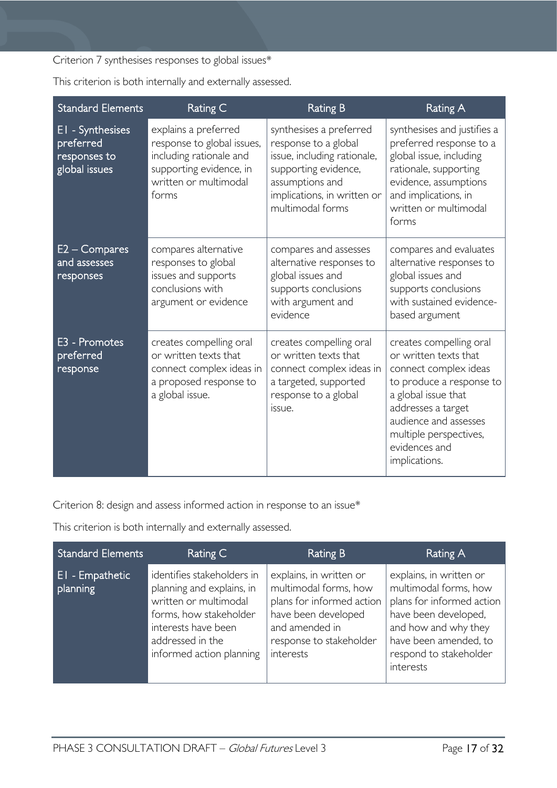Criterion 7 synthesises responses to global issues\*

| <b>Standard Elements</b>                                       | Rating C                                                                                                                                   | <b>Rating B</b>                                                                                                                                                              | <b>Rating A</b>                                                                                                                                                                                                                         |
|----------------------------------------------------------------|--------------------------------------------------------------------------------------------------------------------------------------------|------------------------------------------------------------------------------------------------------------------------------------------------------------------------------|-----------------------------------------------------------------------------------------------------------------------------------------------------------------------------------------------------------------------------------------|
| El - Synthesises<br>preferred<br>responses to<br>global issues | explains a preferred<br>response to global issues,<br>including rationale and<br>supporting evidence, in<br>written or multimodal<br>forms | synthesises a preferred<br>response to a global<br>issue, including rationale,<br>supporting evidence,<br>assumptions and<br>implications, in written or<br>multimodal forms | synthesises and justifies a<br>preferred response to a<br>global issue, including<br>rationale, supporting<br>evidence, assumptions<br>and implications, in<br>written or multimodal<br>forms                                           |
| $E2 - Compares$<br>and assesses<br>responses                   | compares alternative<br>responses to global<br>issues and supports<br>conclusions with<br>argument or evidence                             | compares and assesses<br>alternative responses to<br>global issues and<br>supports conclusions<br>with argument and<br>evidence                                              | compares and evaluates<br>alternative responses to<br>global issues and<br>supports conclusions<br>with sustained evidence-<br>based argument                                                                                           |
| E3 - Promotes<br>preferred<br>response                         | creates compelling oral<br>or written texts that<br>connect complex ideas in<br>a proposed response to<br>a global issue.                  | creates compelling oral<br>or written texts that<br>connect complex ideas in<br>a targeted, supported<br>response to a global<br>issue.                                      | creates compelling oral<br>or written texts that<br>connect complex ideas<br>to produce a response to<br>a global issue that<br>addresses a target<br>audience and assesses<br>multiple perspectives,<br>evidences and<br>implications. |

This criterion is both internally and externally assessed.

Criterion 8: design and assess informed action in response to an issue\*

This criterion is both internally and externally assessed.

| <b>Standard Elements</b>    | Rating C                                                                                                                                                                          | <b>Rating B</b>                                                                                                                                                | Rating A                                                                                                                                                                                      |
|-----------------------------|-----------------------------------------------------------------------------------------------------------------------------------------------------------------------------------|----------------------------------------------------------------------------------------------------------------------------------------------------------------|-----------------------------------------------------------------------------------------------------------------------------------------------------------------------------------------------|
| El - Empathetic<br>planning | identifies stakeholders in<br>planning and explains, in<br>written or multimodal<br>forms, how stakeholder<br>interests have been<br>addressed in the<br>informed action planning | explains, in written or<br>multimodal forms, how<br>plans for informed action<br>have been developed<br>and amended in<br>response to stakeholder<br>interests | explains, in written or<br>multimodal forms, how<br>plans for informed action<br>have been developed,<br>and how and why they<br>have been amended, to<br>respond to stakeholder<br>interests |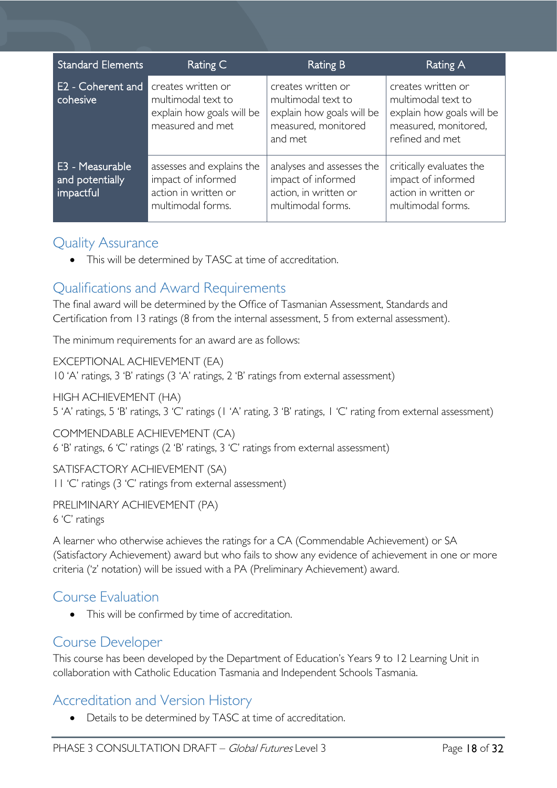| <b>Standard Elements</b>                        | Rating C                                                                                     | <b>Rating B</b>                                                                                         | Rating A                                                                                                         |
|-------------------------------------------------|----------------------------------------------------------------------------------------------|---------------------------------------------------------------------------------------------------------|------------------------------------------------------------------------------------------------------------------|
| E2 - Coherent and<br>cohesive                   | creates written or<br>multimodal text to<br>explain how goals will be<br>measured and met    | creates written or<br>multimodal text to<br>explain how goals will be<br>measured, monitored<br>and met | creates written or<br>multimodal text to<br>explain how goals will be<br>measured, monitored,<br>refined and met |
| E3 - Measurable<br>and potentially<br>impactful | assesses and explains the<br>impact of informed<br>action in written or<br>multimodal forms. | analyses and assesses the<br>impact of informed<br>action, in written or<br>multimodal forms.           | critically evaluates the<br>impact of informed<br>action in written or<br>multimodal forms.                      |

# <span id="page-17-0"></span>Quality Assurance

• This will be determined by TASC at time of accreditation.

# <span id="page-17-1"></span>Qualifications and Award Requirements

The final award will be determined by the Office of Tasmanian Assessment, Standards and Certification from 13 ratings (8 from the internal assessment, 5 from external assessment).

The minimum requirements for an award are as follows:

EXCEPTIONAL ACHIEVEMENT (EA)

10 'A' ratings, 3 'B' ratings (3 'A' ratings, 2 'B' ratings from external assessment)

HIGH ACHIEVEMENT (HA)

5 'A' ratings, 5 'B' ratings, 3 'C' ratings (1 'A' rating, 3 'B' ratings, 1 'C' rating from external assessment)

COMMENDABLE ACHIEVEMENT (CA) 6 'B' ratings, 6 'C' ratings (2 'B' ratings, 3 'C' ratings from external assessment)

SATISFACTORY ACHIEVEMENT (SA) 11 'C' ratings (3 'C' ratings from external assessment)

PRELIMINARY ACHIEVEMENT (PA) 6 'C' ratings

A learner who otherwise achieves the ratings for a CA (Commendable Achievement) or SA (Satisfactory Achievement) award but who fails to show any evidence of achievement in one or more criteria ('z' notation) will be issued with a PA (Preliminary Achievement) award.

# <span id="page-17-2"></span>Course Evaluation

• This will be confirmed by time of accreditation.

# <span id="page-17-3"></span>Course Developer

This course has been developed by the Department of Education's Years 9 to 12 Learning Unit in collaboration with Catholic Education Tasmania and Independent Schools Tasmania.

# <span id="page-17-4"></span>Accreditation and Version History

• Details to be determined by TASC at time of accreditation.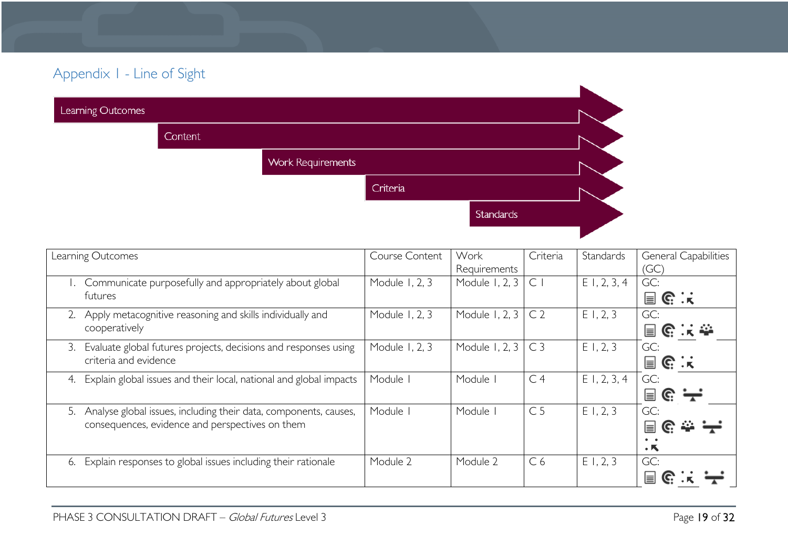# Appendix 1 - Line of Sight

| Learning Outcomes |         |                          |          |           |  |
|-------------------|---------|--------------------------|----------|-----------|--|
|                   | Content |                          |          |           |  |
|                   |         | <b>Work Requirements</b> |          |           |  |
|                   |         |                          | Criteria |           |  |
|                   |         |                          |          | Standards |  |
|                   |         |                          |          |           |  |

<span id="page-18-0"></span>

| Learning Outcomes                                                        | Course Content | Work           | Criteria       | Standards      | <b>General Capabilities</b> |
|--------------------------------------------------------------------------|----------------|----------------|----------------|----------------|-----------------------------|
|                                                                          |                | Requirements   |                |                | (GC)                        |
| 1. Communicate purposefully and appropriately about global               | Module 1, 2, 3 | Module 1, 2, 3 | $\subset$      | $E$ 1, 2, 3, 4 | GC:                         |
| futures                                                                  |                |                |                |                | $\mathbf{r} \in \mathbb{R}$ |
| Apply metacognitive reasoning and skills individually and                | Module 1, 2, 3 | Module 1, 2, 3 | C <sub>2</sub> | E1, 2, 3       | GC:                         |
| cooperatively                                                            |                |                |                |                | 冒险误变                        |
| Evaluate global futures projects, decisions and responses using<br>3.    | Module 1, 2, 3 | Module 1, 2, 3 | C <sub>3</sub> | E1, 2, 3       | GC:                         |
| criteria and evidence                                                    |                |                |                |                | $\mathbf{r} \in \mathbb{R}$ |
| Explain global issues and their local, national and global impacts<br>4. | Module I       | Module         | C <sub>4</sub> | $E$ 1, 2, 3, 4 | GC:                         |
|                                                                          |                |                |                |                | 冒 ૯ : —                     |
| Analyse global issues, including their data, components, causes,<br>5.   | Module I       | Module         | C <sub>5</sub> | E1, 2, 3       | GC:                         |
| consequences, evidence and perspectives on them                          |                |                |                |                | يديد<br>C.<br>E             |
|                                                                          |                |                |                |                |                             |
|                                                                          |                |                |                |                | $\cdot$ k                   |
| Explain responses to global issues including their rationale<br>6.       | Module 2       | Module 2       | C <sub>6</sub> | $E$ 1, 2, 3    | GC:                         |
|                                                                          |                |                |                |                | Ħ                           |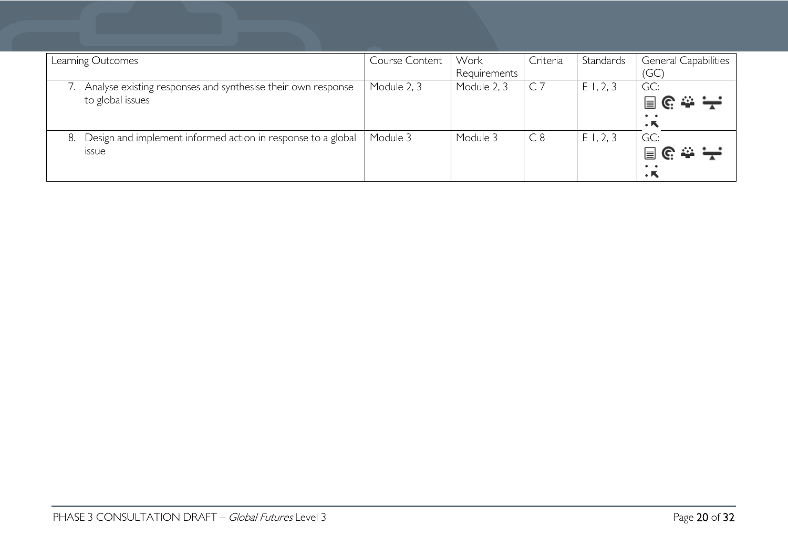| Learning Outcomes                                                                  | Course Content | Work<br>Requirements | Criteria       | Standards | <b>General Capabilities</b><br>'GC                                  |
|------------------------------------------------------------------------------------|----------------|----------------------|----------------|-----------|---------------------------------------------------------------------|
| Analyse existing responses and synthesise their own response<br>to global issues   | Module 2, 3    | Module 2, 3          | C <sub>7</sub> | E1, 2, 3  | GC:<br>$\mathbf{r} \in \mathbb{R}^{n}$<br>. к                       |
| Design and implement informed action in response to a global<br>8.<br><b>ISSUE</b> | Module 3       | Module 3             | C8             | E1, 2, 3  | GC:<br>$\mathbf{e} \in \mathbf{H}$<br>$\bullet\quad \bullet$<br>. К |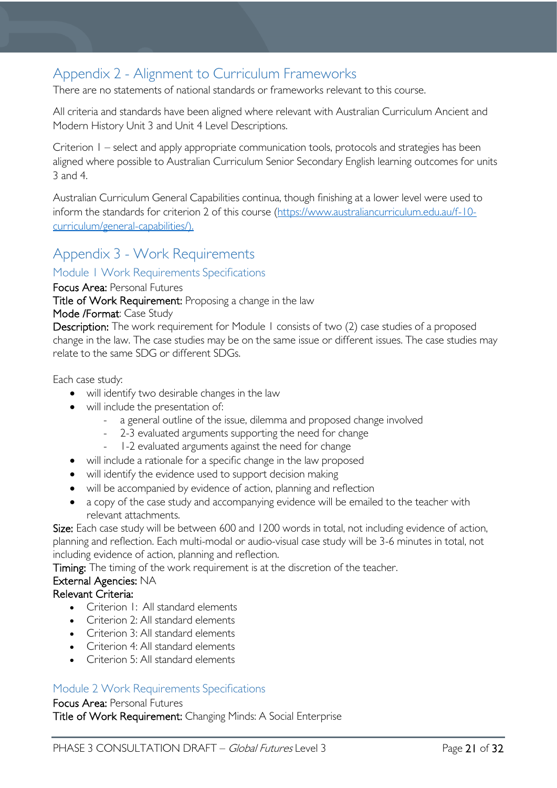# <span id="page-20-0"></span>Appendix 2 - Alignment to Curriculum Frameworks

There are no statements of national standards or frameworks relevant to this course.

All criteria and standards have been aligned where relevant with Australian Curriculum Ancient and Modern History Unit 3 and Unit 4 Level Descriptions.

Criterion 1 – select and apply appropriate communication tools, protocols and strategies has been aligned where possible to Australian Curriculum Senior Secondary English learning outcomes for units 3 and 4.

Australian Curriculum General Capabilities continua, though finishing at a lower level were used to inform the standards for criterion 2 of this course [\(https://www.australiancurriculum.edu.au/f-10](https://www.australiancurriculum.edu.au/f-10-curriculum/general-capabilities/) [curriculum/general-capabilities/\)](https://www.australiancurriculum.edu.au/f-10-curriculum/general-capabilities/).

# <span id="page-20-1"></span>Appendix 3 - Work Requirements

# <span id="page-20-2"></span>Module 1 Work Requirements Specifications

Focus Area: Personal Futures

Title of Work Requirement: Proposing a change in the law

#### Mode /Format: Case Study

Description: The work requirement for Module 1 consists of two (2) case studies of a proposed change in the law. The case studies may be on the same issue or different issues. The case studies may relate to the same SDG or different SDGs.

Each case study:

- will identify two desirable changes in the law
- will include the presentation of:
	- a general outline of the issue, dilemma and proposed change involved
	- 2-3 evaluated arguments supporting the need for change
	- 1-2 evaluated arguments against the need for change
- will include a rationale for a specific change in the law proposed
- will identify the evidence used to support decision making
- will be accompanied by evidence of action, planning and reflection
- a copy of the case study and accompanying evidence will be emailed to the teacher with relevant attachments.

Size: Each case study will be between 600 and 1200 words in total, not including evidence of action, planning and reflection. Each multi-modal or audio-visual case study will be 3-6 minutes in total, not including evidence of action, planning and reflection.

Timing: The timing of the work requirement is at the discretion of the teacher.

# External Agencies: NA

# Relevant Criteria:

- Criterion I: All standard elements
- Criterion 2: All standard elements
- Criterion 3: All standard elements
- Criterion 4: All standard elements
- Criterion 5: All standard elements

# <span id="page-20-3"></span>Module 2 Work Requirements Specifications

### Focus Area: Personal Futures

Title of Work Requirement: Changing Minds: A Social Enterprise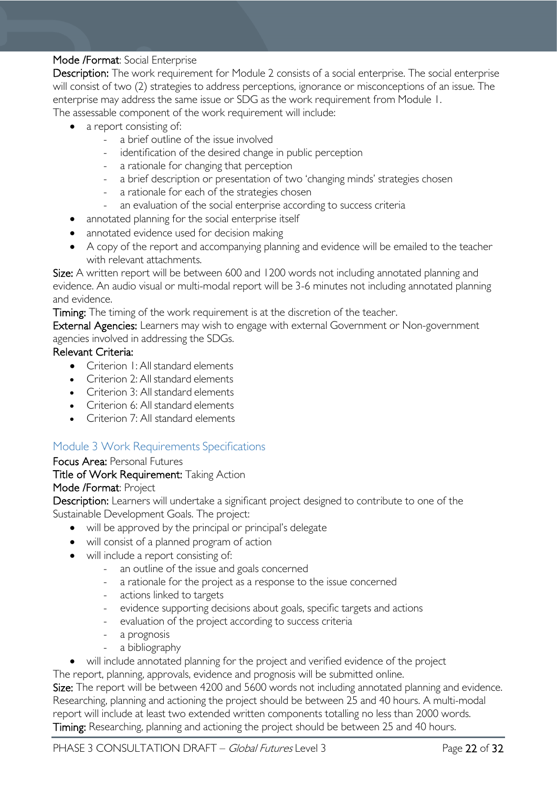# Mode /Format: Social Enterprise

Description: The work requirement for Module 2 consists of a social enterprise. The social enterprise will consist of two (2) strategies to address perceptions, ignorance or misconceptions of an issue. The enterprise may address the same issue or SDG as the work requirement from Module 1. The assessable component of the work requirement will include:

- a report consisting of:
	- a brief outline of the issue involved
	- identification of the desired change in public perception
	- a rationale for changing that perception
	- a brief description or presentation of two 'changing minds' strategies chosen
	- a rationale for each of the strategies chosen
	- an evaluation of the social enterprise according to success criteria
	- annotated planning for the social enterprise itself
	- annotated evidence used for decision making
	- A copy of the report and accompanying planning and evidence will be emailed to the teacher with relevant attachments.

Size: A written report will be between 600 and 1200 words not including annotated planning and evidence. An audio visual or multi-modal report will be 3-6 minutes not including annotated planning and evidence.

Timing: The timing of the work requirement is at the discretion of the teacher.

External Agencies: Learners may wish to engage with external Government or Non-government agencies involved in addressing the SDGs.

# Relevant Criteria:

- Criterion I: All standard elements
- Criterion 2: All standard elements
- Criterion 3: All standard elements
- Criterion 6: All standard elements
- Criterion 7: All standard elements

# <span id="page-21-0"></span>Module 3 Work Requirements Specifications

### Focus Area: Personal Futures

# Title of Work Requirement: Taking Action

### Mode /Format: Project

Description: Learners will undertake a significant project designed to contribute to one of the Sustainable Development Goals. The project:

- will be approved by the principal or principal's delegate
- will consist of a planned program of action
- will include a report consisting of:
	- an outline of the issue and goals concerned
	- a rationale for the project as a response to the issue concerned
	- actions linked to targets
	- evidence supporting decisions about goals, specific targets and actions
	- evaluation of the project according to success criteria
	- a prognosis
	- a bibliography
- will include annotated planning for the project and verified evidence of the project

The report, planning, approvals, evidence and prognosis will be submitted online.

Size: The report will be between 4200 and 5600 words not including annotated planning and evidence. Researching, planning and actioning the project should be between 25 and 40 hours. A multi-modal report will include at least two extended written components totalling no less than 2000 words. Timing: Researching, planning and actioning the project should be between 25 and 40 hours.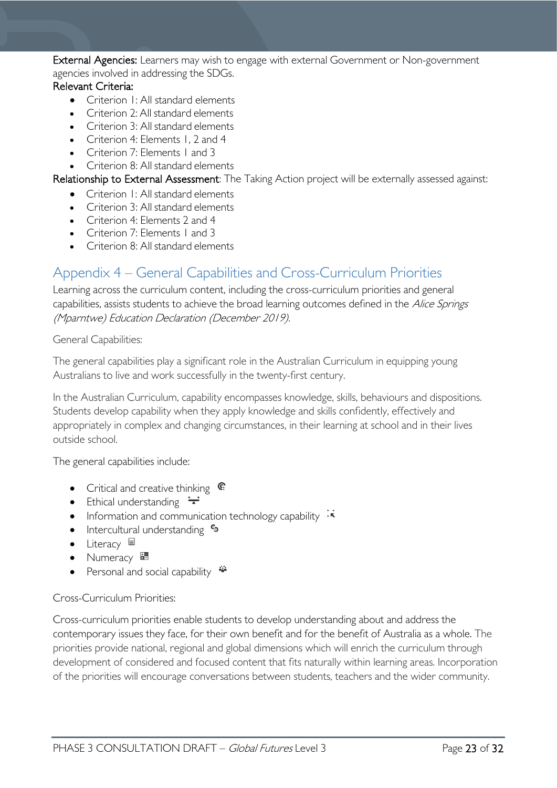External Agencies: Learners may wish to engage with external Government or Non-government agencies involved in addressing the SDGs.

# Relevant Criteria:

- Criterion 1: All standard elements
- Criterion 2: All standard elements
- Criterion 3: All standard elements
- Criterion 4: Elements 1, 2 and 4
- Criterion 7: Elements 1 and 3
- Criterion 8: All standard elements

Relationship to External Assessment: The Taking Action project will be externally assessed against:

- Criterion 1: All standard elements
- Criterion 3: All standard elements
- Criterion 4: Elements 2 and 4
- Criterion 7: Elements 1 and 3
- Criterion 8: All standard elements

# <span id="page-22-0"></span>Appendix 4 – General Capabilities and Cross-Curriculum Priorities

Learning across the curriculum content, including the cross-curriculum priorities and general capabilities, assists students to achieve the broad learning outcomes defined in the *Alice Springs* (Mparntwe) Education Declaration (December 2019).

General Capabilities:

The general capabilities play a significant role in the Australian Curriculum in equipping young Australians to live and work successfully in the twenty-first century.

In the Australian Curriculum, capability encompasses knowledge, skills, behaviours and dispositions. Students develop capability when they apply knowledge and skills confidently, effectively and appropriately in complex and changing circumstances, in their learning at school and in their lives outside school.

The general capabilities include:

- Critical and creative thinking  $\mathbb{C}$
- Ethical understanding  $\div$
- Information and communication technology capability  $\cdot \star$
- Intercultural understanding •
- Literacy
- Numeracy
- Personal and social capability  $\ddot{\bullet}$

### Cross-Curriculum Priorities:

Cross-curriculum priorities enable students to develop understanding about and address the contemporary issues they face, for their own benefit and for the benefit of Australia as a whole. The priorities provide national, regional and global dimensions which will enrich the curriculum through development of considered and focused content that fits naturally within learning areas. Incorporation of the priorities will encourage conversations between students, teachers and the wider community.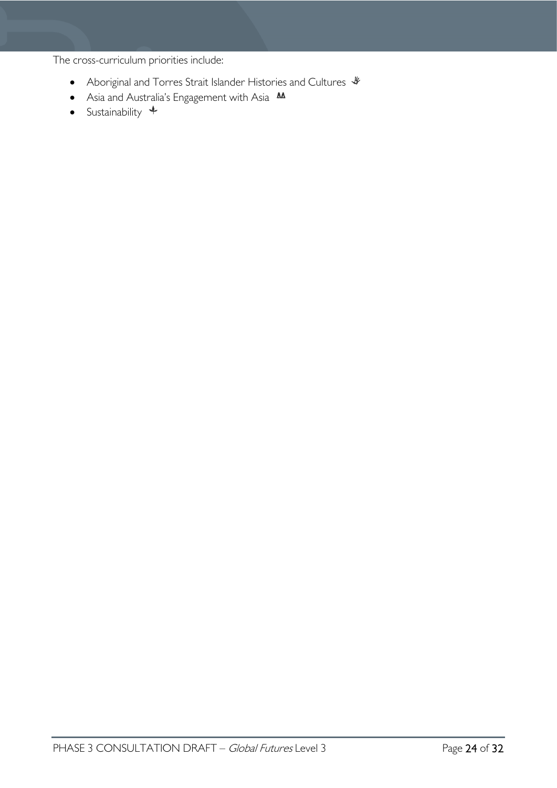The cross-curriculum priorities include:

- Aboriginal and Torres Strait Islander Histories and Cultures  $\mathcal *$
- Asia and Australia's Engagement with Asia M
- Sustainability  $+$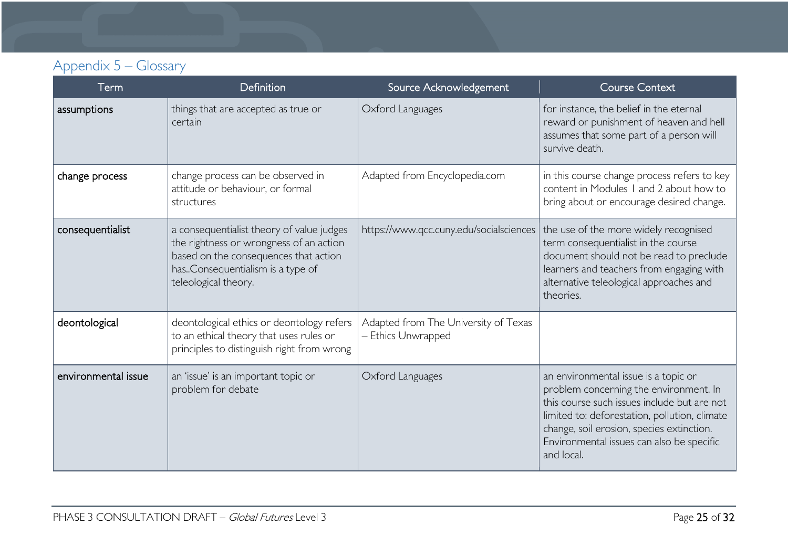# Appendix 5 – Glossary

<span id="page-24-0"></span>

| Term                | <b>Definition</b>                                                                                                                                                                         | Source Acknowledgement                                     | <b>Course Context</b>                                                                                                                                                                                                                                                                  |
|---------------------|-------------------------------------------------------------------------------------------------------------------------------------------------------------------------------------------|------------------------------------------------------------|----------------------------------------------------------------------------------------------------------------------------------------------------------------------------------------------------------------------------------------------------------------------------------------|
| assumptions         | things that are accepted as true or<br>certain                                                                                                                                            | Oxford Languages                                           | for instance, the belief in the eternal<br>reward or punishment of heaven and hell<br>assumes that some part of a person will<br>survive death.                                                                                                                                        |
| change process      | change process can be observed in<br>attitude or behaviour, or formal<br>structures                                                                                                       | Adapted from Encyclopedia.com                              | in this course change process refers to key<br>content in Modules 1 and 2 about how to<br>bring about or encourage desired change.                                                                                                                                                     |
| consequentialist    | a consequentialist theory of value judges<br>the rightness or wrongness of an action<br>based on the consequences that action<br>hasConsequentialism is a type of<br>teleological theory. | https://www.qcc.cuny.edu/socialsciences                    | the use of the more widely recognised<br>term consequentialist in the course<br>document should not be read to preclude<br>learners and teachers from engaging with<br>alternative teleological approaches and<br>theories.                                                            |
| deontological       | deontological ethics or deontology refers<br>to an ethical theory that uses rules or<br>principles to distinguish right from wrong                                                        | Adapted from The University of Texas<br>- Ethics Unwrapped |                                                                                                                                                                                                                                                                                        |
| environmental issue | an 'issue' is an important topic or<br>problem for debate                                                                                                                                 | Oxford Languages                                           | an environmental issue is a topic or<br>problem concerning the environment. In<br>this course such issues include but are not<br>limited to: deforestation, pollution, climate<br>change, soil erosion, species extinction.<br>Environmental issues can also be specific<br>and local. |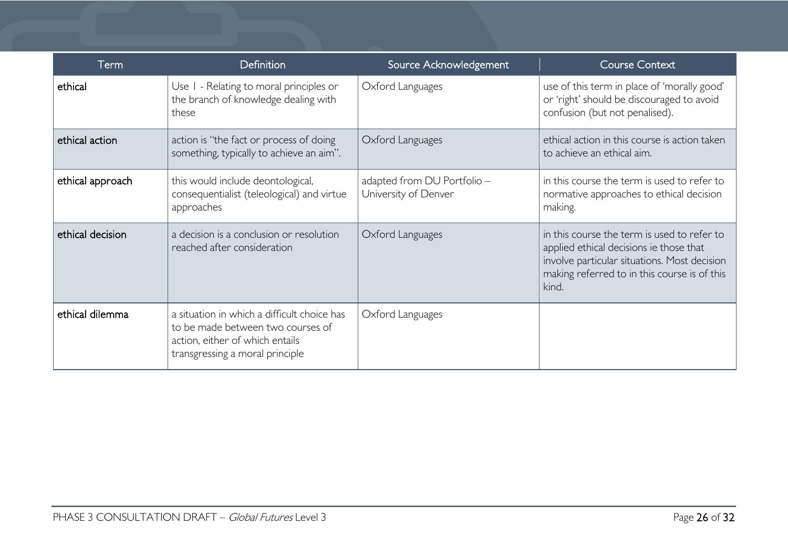| Term             | <b>Definition</b>                                                                                                                                      | Source Acknowledgement                              | <b>Course Context</b>                                                                                                                                                                           |
|------------------|--------------------------------------------------------------------------------------------------------------------------------------------------------|-----------------------------------------------------|-------------------------------------------------------------------------------------------------------------------------------------------------------------------------------------------------|
| ethical          | Use I - Relating to moral principles or<br>the branch of knowledge dealing with<br>these                                                               | Oxford Languages                                    | use of this term in place of 'morally good'<br>or 'right' should be discouraged to avoid<br>confusion (but not penalised).                                                                      |
| ethical action   | action is "the fact or process of doing<br>something, typically to achieve an aim".                                                                    | Oxford Languages                                    | ethical action in this course is action taken<br>to achieve an ethical aim.                                                                                                                     |
| ethical approach | this would include deontological,<br>consequentialist (teleological) and virtue<br>approaches                                                          | adapted from DU Portfolio -<br>University of Denver | in this course the term is used to refer to<br>normative approaches to ethical decision<br>making.                                                                                              |
| ethical decision | a decision is a conclusion or resolution<br>reached after consideration                                                                                | Oxford Languages                                    | in this course the term is used to refer to<br>applied ethical decisions ie those that<br>involve particular situations. Most decision<br>making referred to in this course is of this<br>kind. |
| ethical dilemma  | a situation in which a difficult choice has<br>to be made between two courses of<br>action, either of which entails<br>transgressing a moral principle | Oxford Languages                                    |                                                                                                                                                                                                 |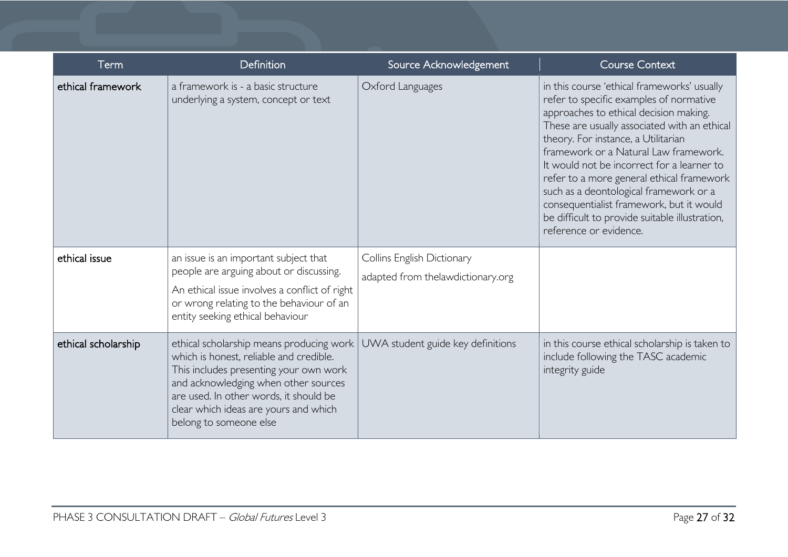| Term                | Definition                                                                                                                                                                                                                                                                         | Source Acknowledgement                                          | <b>Course Context</b>                                                                                                                                                                                                                                                                                                                                                                                                                                                                                                         |
|---------------------|------------------------------------------------------------------------------------------------------------------------------------------------------------------------------------------------------------------------------------------------------------------------------------|-----------------------------------------------------------------|-------------------------------------------------------------------------------------------------------------------------------------------------------------------------------------------------------------------------------------------------------------------------------------------------------------------------------------------------------------------------------------------------------------------------------------------------------------------------------------------------------------------------------|
| ethical framework   | a framework is - a basic structure<br>underlying a system, concept or text                                                                                                                                                                                                         | Oxford Languages                                                | in this course 'ethical frameworks' usually<br>refer to specific examples of normative<br>approaches to ethical decision making.<br>These are usually associated with an ethical<br>theory. For instance, a Utilitarian<br>framework or a Natural Law framework.<br>It would not be incorrect for a learner to<br>refer to a more general ethical framework<br>such as a deontological framework or a<br>consequentialist framework, but it would<br>be difficult to provide suitable illustration,<br>reference or evidence. |
| ethical issue       | an issue is an important subject that<br>people are arguing about or discussing.<br>An ethical issue involves a conflict of right<br>or wrong relating to the behaviour of an<br>entity seeking ethical behaviour                                                                  | Collins English Dictionary<br>adapted from thelawdictionary.org |                                                                                                                                                                                                                                                                                                                                                                                                                                                                                                                               |
| ethical scholarship | ethical scholarship means producing work<br>which is honest, reliable and credible.<br>This includes presenting your own work<br>and acknowledging when other sources<br>are used. In other words, it should be<br>clear which ideas are yours and which<br>belong to someone else | UWA student guide key definitions                               | in this course ethical scholarship is taken to<br>include following the TASC academic<br>integrity guide                                                                                                                                                                                                                                                                                                                                                                                                                      |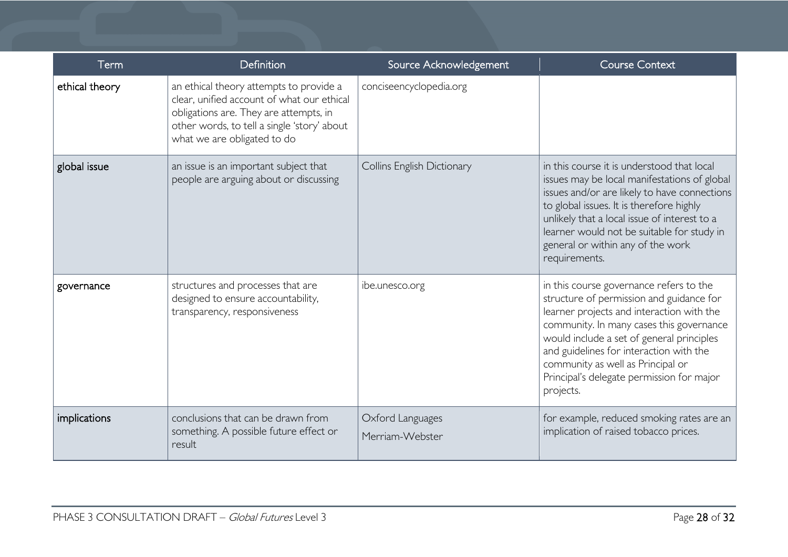| Term           | <b>Definition</b>                                                                                                                                                                                             | Source Acknowledgement              | <b>Course Context</b>                                                                                                                                                                                                                                                                                                                                               |
|----------------|---------------------------------------------------------------------------------------------------------------------------------------------------------------------------------------------------------------|-------------------------------------|---------------------------------------------------------------------------------------------------------------------------------------------------------------------------------------------------------------------------------------------------------------------------------------------------------------------------------------------------------------------|
| ethical theory | an ethical theory attempts to provide a<br>clear, unified account of what our ethical<br>obligations are. They are attempts, in<br>other words, to tell a single 'story' about<br>what we are obligated to do | conciseencyclopedia.org             |                                                                                                                                                                                                                                                                                                                                                                     |
| global issue   | an issue is an important subject that<br>people are arguing about or discussing                                                                                                                               | Collins English Dictionary          | in this course it is understood that local<br>issues may be local manifestations of global<br>issues and/or are likely to have connections<br>to global issues. It is therefore highly<br>unlikely that a local issue of interest to a<br>learner would not be suitable for study in<br>general or within any of the work<br>requirements.                          |
| governance     | structures and processes that are<br>designed to ensure accountability,<br>transparency, responsiveness                                                                                                       | ibe.unesco.org                      | in this course governance refers to the<br>structure of permission and guidance for<br>learner projects and interaction with the<br>community. In many cases this governance<br>would include a set of general principles<br>and guidelines for interaction with the<br>community as well as Principal or<br>Principal's delegate permission for major<br>projects. |
| implications   | conclusions that can be drawn from<br>something. A possible future effect or<br>result                                                                                                                        | Oxford Languages<br>Merriam-Webster | for example, reduced smoking rates are an<br>implication of raised tobacco prices.                                                                                                                                                                                                                                                                                  |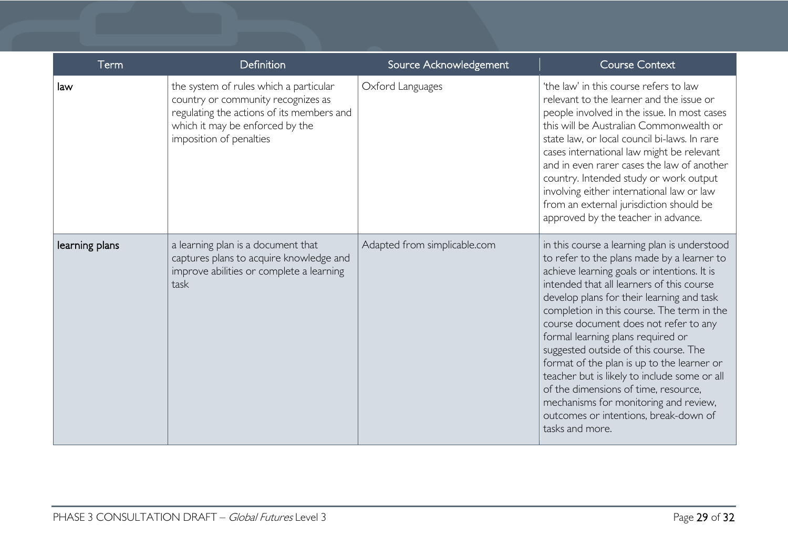| Term           | Definition                                                                                                                                                                              | Source Acknowledgement       | <b>Course Context</b>                                                                                                                                                                                                                                                                                                                                                                                                                                                                                                                                                                                                                               |
|----------------|-----------------------------------------------------------------------------------------------------------------------------------------------------------------------------------------|------------------------------|-----------------------------------------------------------------------------------------------------------------------------------------------------------------------------------------------------------------------------------------------------------------------------------------------------------------------------------------------------------------------------------------------------------------------------------------------------------------------------------------------------------------------------------------------------------------------------------------------------------------------------------------------------|
| law            | the system of rules which a particular<br>country or community recognizes as<br>regulating the actions of its members and<br>which it may be enforced by the<br>imposition of penalties | Oxford Languages             | 'the law' in this course refers to law<br>relevant to the learner and the issue or<br>people involved in the issue. In most cases<br>this will be Australian Commonwealth or<br>state law, or local council bi-laws. In rare<br>cases international law might be relevant<br>and in even rarer cases the law of another<br>country. Intended study or work output<br>involving either international law or law<br>from an external jurisdiction should be<br>approved by the teacher in advance.                                                                                                                                                    |
| learning plans | a learning plan is a document that<br>captures plans to acquire knowledge and<br>improve abilities or complete a learning<br>task                                                       | Adapted from simplicable.com | in this course a learning plan is understood<br>to refer to the plans made by a learner to<br>achieve learning goals or intentions. It is<br>intended that all learners of this course<br>develop plans for their learning and task<br>completion in this course. The term in the<br>course document does not refer to any<br>formal learning plans required or<br>suggested outside of this course. The<br>format of the plan is up to the learner or<br>teacher but is likely to include some or all<br>of the dimensions of time, resource,<br>mechanisms for monitoring and review,<br>outcomes or intentions, break-down of<br>tasks and more. |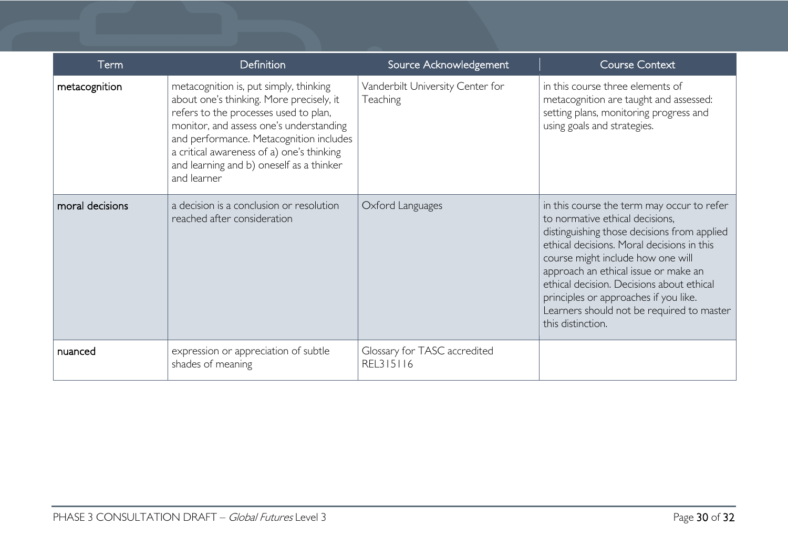| Term            | <b>Definition</b>                                                                                                                                                                                                                                                                                                         | Source Acknowledgement                       | <b>Course Context</b>                                                                                                                                                                                                                                                                                                                                                                                           |
|-----------------|---------------------------------------------------------------------------------------------------------------------------------------------------------------------------------------------------------------------------------------------------------------------------------------------------------------------------|----------------------------------------------|-----------------------------------------------------------------------------------------------------------------------------------------------------------------------------------------------------------------------------------------------------------------------------------------------------------------------------------------------------------------------------------------------------------------|
| metacognition   | metacognition is, put simply, thinking<br>about one's thinking. More precisely, it<br>refers to the processes used to plan,<br>monitor, and assess one's understanding<br>and performance. Metacognition includes<br>a critical awareness of a) one's thinking<br>and learning and b) oneself as a thinker<br>and learner | Vanderbilt University Center for<br>Teaching | in this course three elements of<br>metacognition are taught and assessed:<br>setting plans, monitoring progress and<br>using goals and strategies.                                                                                                                                                                                                                                                             |
| moral decisions | a decision is a conclusion or resolution<br>reached after consideration                                                                                                                                                                                                                                                   | Oxford Languages                             | in this course the term may occur to refer<br>to normative ethical decisions,<br>distinguishing those decisions from applied<br>ethical decisions. Moral decisions in this<br>course might include how one will<br>approach an ethical issue or make an<br>ethical decision. Decisions about ethical<br>principles or approaches if you like.<br>Learners should not be required to master<br>this distinction. |
| nuanced         | expression or appreciation of subtle<br>shades of meaning                                                                                                                                                                                                                                                                 | Glossary for TASC accredited<br>REL315116    |                                                                                                                                                                                                                                                                                                                                                                                                                 |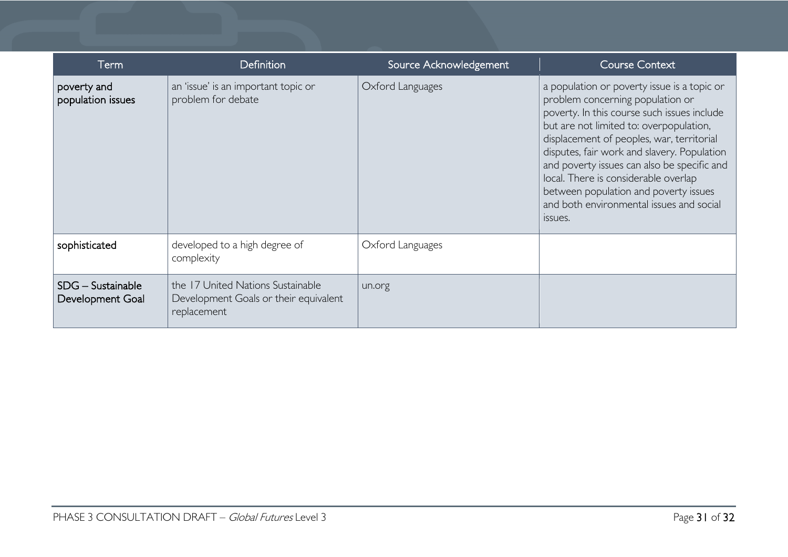| Term                                    | <b>Definition</b>                                                                         | Source Acknowledgement | <b>Course Context</b>                                                                                                                                                                                                                                                                                                                                                                                                                                        |
|-----------------------------------------|-------------------------------------------------------------------------------------------|------------------------|--------------------------------------------------------------------------------------------------------------------------------------------------------------------------------------------------------------------------------------------------------------------------------------------------------------------------------------------------------------------------------------------------------------------------------------------------------------|
| poverty and<br>population issues        | an 'issue' is an important topic or<br>problem for debate                                 | Oxford Languages       | a population or poverty issue is a topic or<br>problem concerning population or<br>poverty. In this course such issues include<br>but are not limited to: overpopulation,<br>displacement of peoples, war, territorial<br>disputes, fair work and slavery. Population<br>and poverty issues can also be specific and<br>local. There is considerable overlap<br>between population and poverty issues<br>and both environmental issues and social<br>ISSUES. |
| sophisticated                           | developed to a high degree of<br>complexity                                               | Oxford Languages       |                                                                                                                                                                                                                                                                                                                                                                                                                                                              |
| $SDG -$ Sustainable<br>Development Goal | the 17 United Nations Sustainable<br>Development Goals or their equivalent<br>replacement | un.org                 |                                                                                                                                                                                                                                                                                                                                                                                                                                                              |